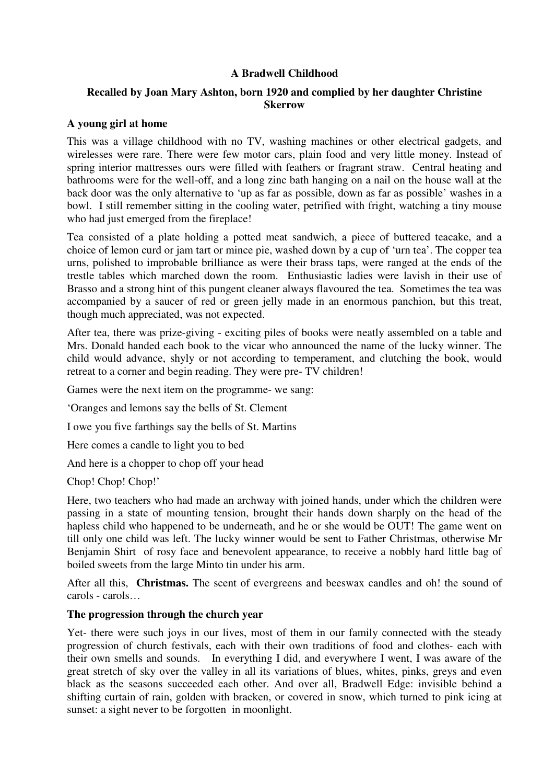### **A Bradwell Childhood**

# **Recalled by Joan Mary Ashton, born 1920 and complied by her daughter Christine Skerrow**

#### **A young girl at home**

This was a village childhood with no TV, washing machines or other electrical gadgets, and wirelesses were rare. There were few motor cars, plain food and very little money. Instead of spring interior mattresses ours were filled with feathers or fragrant straw. Central heating and bathrooms were for the well-off, and a long zinc bath hanging on a nail on the house wall at the back door was the only alternative to 'up as far as possible, down as far as possible' washes in a bowl. I still remember sitting in the cooling water, petrified with fright, watching a tiny mouse who had just emerged from the fireplace!

Tea consisted of a plate holding a potted meat sandwich, a piece of buttered teacake, and a choice of lemon curd or jam tart or mince pie, washed down by a cup of 'urn tea'. The copper tea urns, polished to improbable brilliance as were their brass taps, were ranged at the ends of the trestle tables which marched down the room. Enthusiastic ladies were lavish in their use of Brasso and a strong hint of this pungent cleaner always flavoured the tea. Sometimes the tea was accompanied by a saucer of red or green jelly made in an enormous panchion, but this treat, though much appreciated, was not expected.

After tea, there was prize-giving - exciting piles of books were neatly assembled on a table and Mrs. Donald handed each book to the vicar who announced the name of the lucky winner. The child would advance, shyly or not according to temperament, and clutching the book, would retreat to a corner and begin reading. They were pre- TV children!

Games were the next item on the programme- we sang:

'Oranges and lemons say the bells of St. Clement

I owe you five farthings say the bells of St. Martins

Here comes a candle to light you to bed

And here is a chopper to chop off your head

Chop! Chop!'

Here, two teachers who had made an archway with joined hands, under which the children were passing in a state of mounting tension, brought their hands down sharply on the head of the hapless child who happened to be underneath, and he or she would be OUT! The game went on till only one child was left. The lucky winner would be sent to Father Christmas, otherwise Mr Benjamin Shirt of rosy face and benevolent appearance, to receive a nobbly hard little bag of boiled sweets from the large Minto tin under his arm.

After all this, **Christmas.** The scent of evergreens and beeswax candles and oh! the sound of carols - carols…

#### **The progression through the church year**

Yet- there were such joys in our lives, most of them in our family connected with the steady progression of church festivals, each with their own traditions of food and clothes- each with their own smells and sounds. In everything I did, and everywhere I went, I was aware of the great stretch of sky over the valley in all its variations of blues, whites, pinks, greys and even black as the seasons succeeded each other. And over all, Bradwell Edge: invisible behind a shifting curtain of rain, golden with bracken, or covered in snow, which turned to pink icing at sunset: a sight never to be forgotten in moonlight.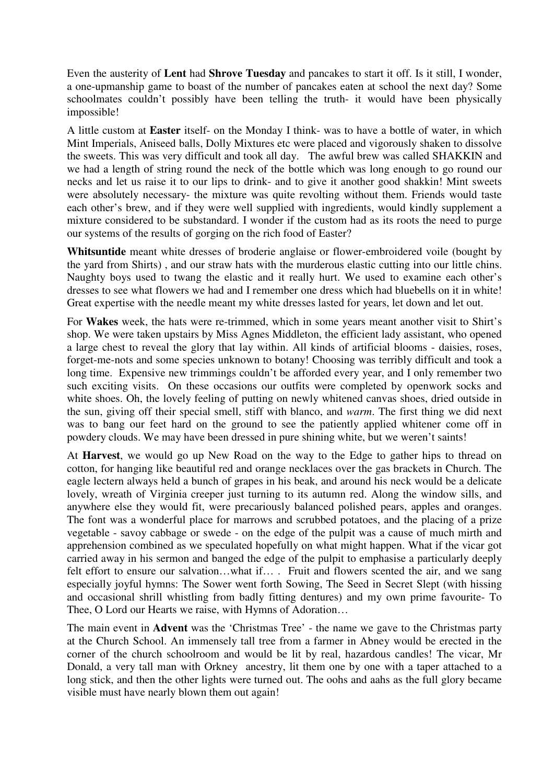Even the austerity of **Lent** had **Shrove Tuesday** and pancakes to start it off. Is it still, I wonder, a one-upmanship game to boast of the number of pancakes eaten at school the next day? Some schoolmates couldn't possibly have been telling the truth- it would have been physically impossible!

A little custom at **Easter** itself- on the Monday I think- was to have a bottle of water, in which Mint Imperials, Aniseed balls, Dolly Mixtures etc were placed and vigorously shaken to dissolve the sweets. This was very difficult and took all day. The awful brew was called SHAKKIN and we had a length of string round the neck of the bottle which was long enough to go round our necks and let us raise it to our lips to drink- and to give it another good shakkin! Mint sweets were absolutely necessary- the mixture was quite revolting without them. Friends would taste each other's brew, and if they were well supplied with ingredients, would kindly supplement a mixture considered to be substandard. I wonder if the custom had as its roots the need to purge our systems of the results of gorging on the rich food of Easter?

**Whitsuntide** meant white dresses of broderie anglaise or flower-embroidered voile (bought by the yard from Shirts) , and our straw hats with the murderous elastic cutting into our little chins. Naughty boys used to twang the elastic and it really hurt. We used to examine each other's dresses to see what flowers we had and I remember one dress which had bluebells on it in white! Great expertise with the needle meant my white dresses lasted for years, let down and let out.

For **Wakes** week, the hats were re-trimmed, which in some years meant another visit to Shirt's shop. We were taken upstairs by Miss Agnes Middleton, the efficient lady assistant, who opened a large chest to reveal the glory that lay within. All kinds of artificial blooms - daisies, roses, forget-me-nots and some species unknown to botany! Choosing was terribly difficult and took a long time. Expensive new trimmings couldn't be afforded every year, and I only remember two such exciting visits. On these occasions our outfits were completed by openwork socks and white shoes. Oh, the lovely feeling of putting on newly whitened canvas shoes, dried outside in the sun, giving off their special smell, stiff with blanco, and *warm*. The first thing we did next was to bang our feet hard on the ground to see the patiently applied whitener come off in powdery clouds. We may have been dressed in pure shining white, but we weren't saints!

At **Harvest**, we would go up New Road on the way to the Edge to gather hips to thread on cotton, for hanging like beautiful red and orange necklaces over the gas brackets in Church. The eagle lectern always held a bunch of grapes in his beak, and around his neck would be a delicate lovely, wreath of Virginia creeper just turning to its autumn red. Along the window sills, and anywhere else they would fit, were precariously balanced polished pears, apples and oranges. The font was a wonderful place for marrows and scrubbed potatoes, and the placing of a prize vegetable - savoy cabbage or swede - on the edge of the pulpit was a cause of much mirth and apprehension combined as we speculated hopefully on what might happen. What if the vicar got carried away in his sermon and banged the edge of the pulpit to emphasise a particularly deeply felt effort to ensure our salvation...what if… . Fruit and flowers scented the air, and we sang especially joyful hymns: The Sower went forth Sowing, The Seed in Secret Slept (with hissing and occasional shrill whistling from badly fitting dentures) and my own prime favourite- To Thee, O Lord our Hearts we raise, with Hymns of Adoration…

The main event in **Advent** was the 'Christmas Tree' - the name we gave to the Christmas party at the Church School. An immensely tall tree from a farmer in Abney would be erected in the corner of the church schoolroom and would be lit by real, hazardous candles! The vicar, Mr Donald, a very tall man with Orkney ancestry, lit them one by one with a taper attached to a long stick, and then the other lights were turned out. The oohs and aahs as the full glory became visible must have nearly blown them out again!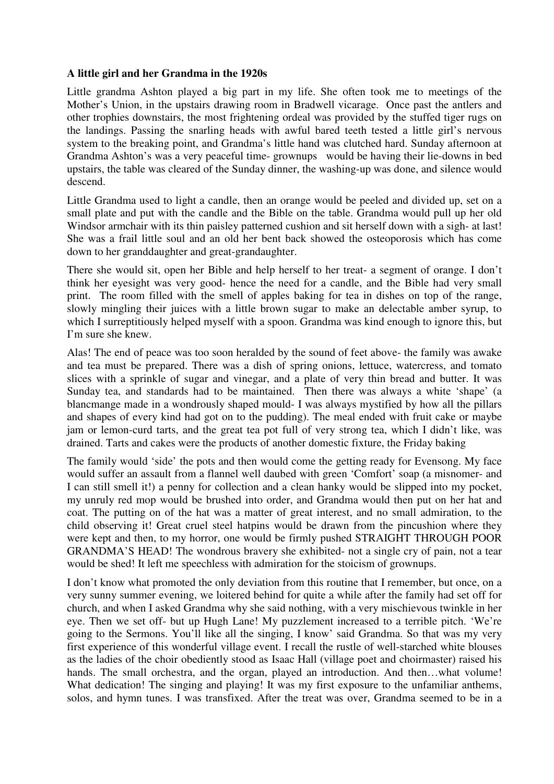#### **A little girl and her Grandma in the 1920s**

Little grandma Ashton played a big part in my life. She often took me to meetings of the Mother's Union, in the upstairs drawing room in Bradwell vicarage. Once past the antlers and other trophies downstairs, the most frightening ordeal was provided by the stuffed tiger rugs on the landings. Passing the snarling heads with awful bared teeth tested a little girl's nervous system to the breaking point, and Grandma's little hand was clutched hard. Sunday afternoon at Grandma Ashton's was a very peaceful time- grownups would be having their lie-downs in bed upstairs, the table was cleared of the Sunday dinner, the washing-up was done, and silence would descend.

Little Grandma used to light a candle, then an orange would be peeled and divided up, set on a small plate and put with the candle and the Bible on the table. Grandma would pull up her old Windsor armchair with its thin paisley patterned cushion and sit herself down with a sigh- at last! She was a frail little soul and an old her bent back showed the osteoporosis which has come down to her granddaughter and great-grandaughter.

There she would sit, open her Bible and help herself to her treat- a segment of orange. I don't think her eyesight was very good- hence the need for a candle, and the Bible had very small print. The room filled with the smell of apples baking for tea in dishes on top of the range, slowly mingling their juices with a little brown sugar to make an delectable amber syrup, to which I surreptitiously helped myself with a spoon. Grandma was kind enough to ignore this, but I'm sure she knew.

Alas! The end of peace was too soon heralded by the sound of feet above- the family was awake and tea must be prepared. There was a dish of spring onions, lettuce, watercress, and tomato slices with a sprinkle of sugar and vinegar, and a plate of very thin bread and butter. It was Sunday tea, and standards had to be maintained. Then there was always a white 'shape' (a blancmange made in a wondrously shaped mould- I was always mystified by how all the pillars and shapes of every kind had got on to the pudding). The meal ended with fruit cake or maybe jam or lemon-curd tarts, and the great tea pot full of very strong tea, which I didn't like, was drained. Tarts and cakes were the products of another domestic fixture, the Friday baking

The family would 'side' the pots and then would come the getting ready for Evensong. My face would suffer an assault from a flannel well daubed with green 'Comfort' soap (a misnomer- and I can still smell it!) a penny for collection and a clean hanky would be slipped into my pocket, my unruly red mop would be brushed into order, and Grandma would then put on her hat and coat. The putting on of the hat was a matter of great interest, and no small admiration, to the child observing it! Great cruel steel hatpins would be drawn from the pincushion where they were kept and then, to my horror, one would be firmly pushed STRAIGHT THROUGH POOR GRANDMA'S HEAD! The wondrous bravery she exhibited- not a single cry of pain, not a tear would be shed! It left me speechless with admiration for the stoicism of grownups.

I don't know what promoted the only deviation from this routine that I remember, but once, on a very sunny summer evening, we loitered behind for quite a while after the family had set off for church, and when I asked Grandma why she said nothing, with a very mischievous twinkle in her eye. Then we set off- but up Hugh Lane! My puzzlement increased to a terrible pitch. 'We're going to the Sermons. You'll like all the singing, I know' said Grandma. So that was my very first experience of this wonderful village event. I recall the rustle of well-starched white blouses as the ladies of the choir obediently stood as Isaac Hall (village poet and choirmaster) raised his hands. The small orchestra, and the organ, played an introduction. And then...what volume! What dedication! The singing and playing! It was my first exposure to the unfamiliar anthems, solos, and hymn tunes. I was transfixed. After the treat was over, Grandma seemed to be in a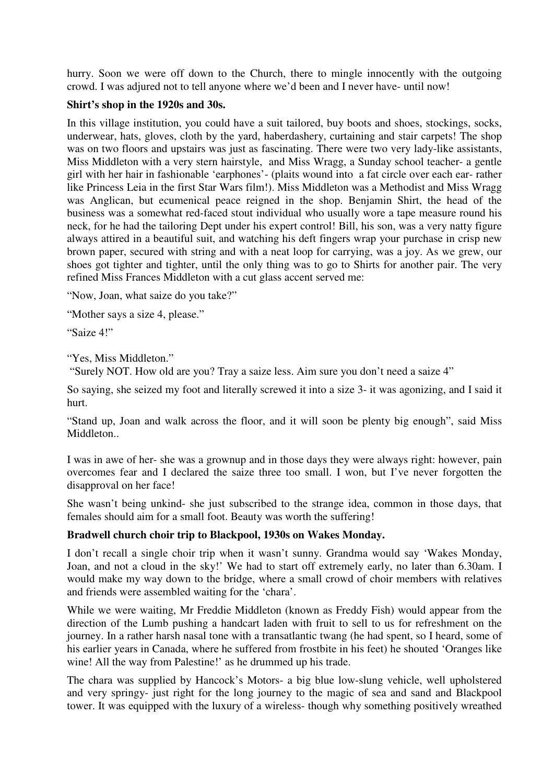hurry. Soon we were off down to the Church, there to mingle innocently with the outgoing crowd. I was adjured not to tell anyone where we'd been and I never have- until now!

### **Shirt's shop in the 1920s and 30s.**

In this village institution, you could have a suit tailored, buy boots and shoes, stockings, socks, underwear, hats, gloves, cloth by the yard, haberdashery, curtaining and stair carpets! The shop was on two floors and upstairs was just as fascinating. There were two very lady-like assistants, Miss Middleton with a very stern hairstyle, and Miss Wragg, a Sunday school teacher- a gentle girl with her hair in fashionable 'earphones'- (plaits wound into a fat circle over each ear- rather like Princess Leia in the first Star Wars film!). Miss Middleton was a Methodist and Miss Wragg was Anglican, but ecumenical peace reigned in the shop. Benjamin Shirt, the head of the business was a somewhat red-faced stout individual who usually wore a tape measure round his neck, for he had the tailoring Dept under his expert control! Bill, his son, was a very natty figure always attired in a beautiful suit, and watching his deft fingers wrap your purchase in crisp new brown paper, secured with string and with a neat loop for carrying, was a joy. As we grew, our shoes got tighter and tighter, until the only thing was to go to Shirts for another pair. The very refined Miss Frances Middleton with a cut glass accent served me:

"Now, Joan, what saize do you take?"

"Mother says a size 4, please."

"Saize 4!"

"Yes, Miss Middleton."

"Surely NOT. How old are you? Tray a saize less. Aim sure you don't need a saize 4"

So saying, she seized my foot and literally screwed it into a size 3- it was agonizing, and I said it hurt.

"Stand up, Joan and walk across the floor, and it will soon be plenty big enough", said Miss Middleton..

I was in awe of her- she was a grownup and in those days they were always right: however, pain overcomes fear and I declared the saize three too small. I won, but I've never forgotten the disapproval on her face!

She wasn't being unkind- she just subscribed to the strange idea, common in those days, that females should aim for a small foot. Beauty was worth the suffering!

# **Bradwell church choir trip to Blackpool, 1930s on Wakes Monday.**

I don't recall a single choir trip when it wasn't sunny. Grandma would say 'Wakes Monday, Joan, and not a cloud in the sky!' We had to start off extremely early, no later than 6.30am. I would make my way down to the bridge, where a small crowd of choir members with relatives and friends were assembled waiting for the 'chara'.

While we were waiting, Mr Freddie Middleton (known as Freddy Fish) would appear from the direction of the Lumb pushing a handcart laden with fruit to sell to us for refreshment on the journey. In a rather harsh nasal tone with a transatlantic twang (he had spent, so I heard, some of his earlier years in Canada, where he suffered from frostbite in his feet) he shouted 'Oranges like wine! All the way from Palestine!' as he drummed up his trade.

The chara was supplied by Hancock's Motors- a big blue low-slung vehicle, well upholstered and very springy- just right for the long journey to the magic of sea and sand and Blackpool tower. It was equipped with the luxury of a wireless- though why something positively wreathed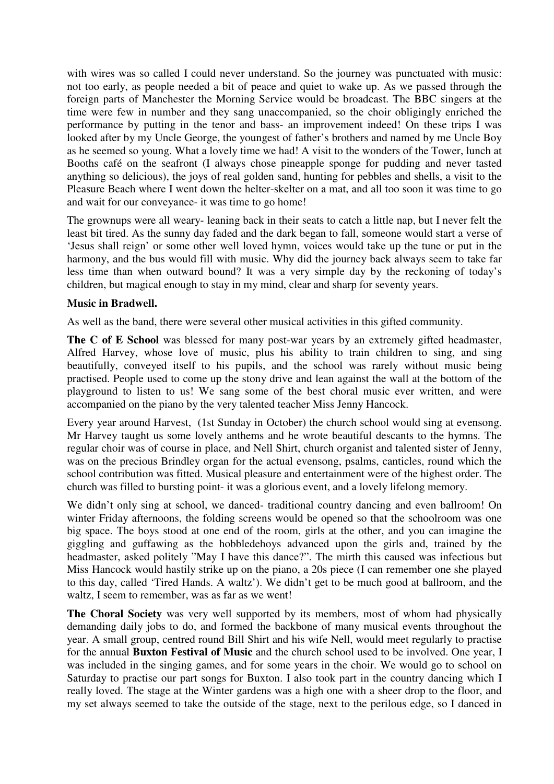with wires was so called I could never understand. So the journey was punctuated with music: not too early, as people needed a bit of peace and quiet to wake up. As we passed through the foreign parts of Manchester the Morning Service would be broadcast. The BBC singers at the time were few in number and they sang unaccompanied, so the choir obligingly enriched the performance by putting in the tenor and bass- an improvement indeed! On these trips I was looked after by my Uncle George, the youngest of father's brothers and named by me Uncle Boy as he seemed so young. What a lovely time we had! A visit to the wonders of the Tower, lunch at Booths café on the seafront (I always chose pineapple sponge for pudding and never tasted anything so delicious), the joys of real golden sand, hunting for pebbles and shells, a visit to the Pleasure Beach where I went down the helter-skelter on a mat, and all too soon it was time to go and wait for our conveyance- it was time to go home!

The grownups were all weary- leaning back in their seats to catch a little nap, but I never felt the least bit tired. As the sunny day faded and the dark began to fall, someone would start a verse of 'Jesus shall reign' or some other well loved hymn, voices would take up the tune or put in the harmony, and the bus would fill with music. Why did the journey back always seem to take far less time than when outward bound? It was a very simple day by the reckoning of today's children, but magical enough to stay in my mind, clear and sharp for seventy years.

### **Music in Bradwell.**

As well as the band, there were several other musical activities in this gifted community.

**The C of E School** was blessed for many post-war years by an extremely gifted headmaster, Alfred Harvey, whose love of music, plus his ability to train children to sing, and sing beautifully, conveyed itself to his pupils, and the school was rarely without music being practised. People used to come up the stony drive and lean against the wall at the bottom of the playground to listen to us! We sang some of the best choral music ever written, and were accompanied on the piano by the very talented teacher Miss Jenny Hancock.

Every year around Harvest, (1st Sunday in October) the church school would sing at evensong. Mr Harvey taught us some lovely anthems and he wrote beautiful descants to the hymns. The regular choir was of course in place, and Nell Shirt, church organist and talented sister of Jenny, was on the precious Brindley organ for the actual evensong, psalms, canticles, round which the school contribution was fitted. Musical pleasure and entertainment were of the highest order. The church was filled to bursting point- it was a glorious event, and a lovely lifelong memory.

We didn't only sing at school, we danced- traditional country dancing and even ballroom! On winter Friday afternoons, the folding screens would be opened so that the schoolroom was one big space. The boys stood at one end of the room, girls at the other, and you can imagine the giggling and guffawing as the hobbledehoys advanced upon the girls and, trained by the headmaster, asked politely "May I have this dance?". The mirth this caused was infectious but Miss Hancock would hastily strike up on the piano, a 20s piece (I can remember one she played to this day, called 'Tired Hands. A waltz'). We didn't get to be much good at ballroom, and the waltz, I seem to remember, was as far as we went!

**The Choral Society** was very well supported by its members, most of whom had physically demanding daily jobs to do, and formed the backbone of many musical events throughout the year. A small group, centred round Bill Shirt and his wife Nell, would meet regularly to practise for the annual **Buxton Festival of Music** and the church school used to be involved. One year, I was included in the singing games, and for some years in the choir. We would go to school on Saturday to practise our part songs for Buxton. I also took part in the country dancing which I really loved. The stage at the Winter gardens was a high one with a sheer drop to the floor, and my set always seemed to take the outside of the stage, next to the perilous edge, so I danced in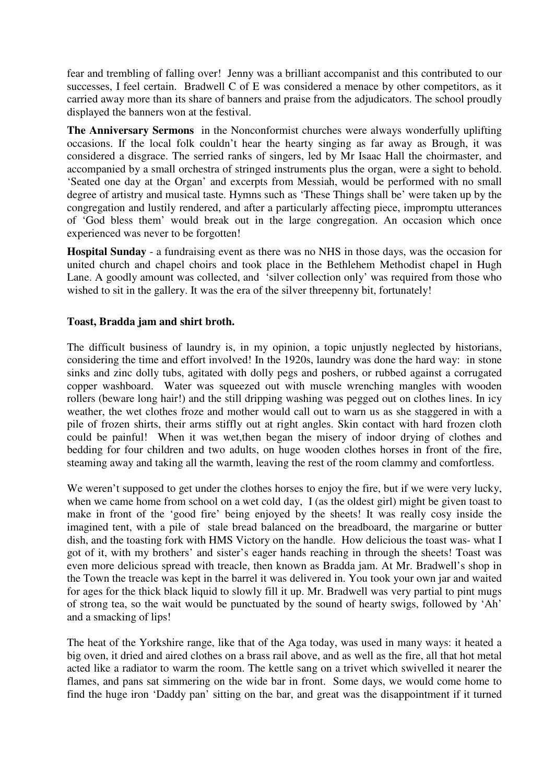fear and trembling of falling over! Jenny was a brilliant accompanist and this contributed to our successes, I feel certain. Bradwell C of E was considered a menace by other competitors, as it carried away more than its share of banners and praise from the adjudicators. The school proudly displayed the banners won at the festival.

**The Anniversary Sermons** in the Nonconformist churches were always wonderfully uplifting occasions. If the local folk couldn't hear the hearty singing as far away as Brough, it was considered a disgrace. The serried ranks of singers, led by Mr Isaac Hall the choirmaster, and accompanied by a small orchestra of stringed instruments plus the organ, were a sight to behold. 'Seated one day at the Organ' and excerpts from Messiah, would be performed with no small degree of artistry and musical taste. Hymns such as 'These Things shall be' were taken up by the congregation and lustily rendered, and after a particularly affecting piece, impromptu utterances of 'God bless them' would break out in the large congregation. An occasion which once experienced was never to be forgotten!

**Hospital Sunday** - a fundraising event as there was no NHS in those days, was the occasion for united church and chapel choirs and took place in the Bethlehem Methodist chapel in Hugh Lane. A goodly amount was collected, and 'silver collection only' was required from those who wished to sit in the gallery. It was the era of the silver threepenny bit, fortunately!

# **Toast, Bradda jam and shirt broth.**

The difficult business of laundry is, in my opinion, a topic unjustly neglected by historians, considering the time and effort involved! In the 1920s, laundry was done the hard way: in stone sinks and zinc dolly tubs, agitated with dolly pegs and poshers, or rubbed against a corrugated copper washboard. Water was squeezed out with muscle wrenching mangles with wooden rollers (beware long hair!) and the still dripping washing was pegged out on clothes lines. In icy weather, the wet clothes froze and mother would call out to warn us as she staggered in with a pile of frozen shirts, their arms stiffly out at right angles. Skin contact with hard frozen cloth could be painful! When it was wet,then began the misery of indoor drying of clothes and bedding for four children and two adults, on huge wooden clothes horses in front of the fire, steaming away and taking all the warmth, leaving the rest of the room clammy and comfortless.

We weren't supposed to get under the clothes horses to enjoy the fire, but if we were very lucky, when we came home from school on a wet cold day, I (as the oldest girl) might be given toast to make in front of the 'good fire' being enjoyed by the sheets! It was really cosy inside the imagined tent, with a pile of stale bread balanced on the breadboard, the margarine or butter dish, and the toasting fork with HMS Victory on the handle. How delicious the toast was- what I got of it, with my brothers' and sister's eager hands reaching in through the sheets! Toast was even more delicious spread with treacle, then known as Bradda jam. At Mr. Bradwell's shop in the Town the treacle was kept in the barrel it was delivered in. You took your own jar and waited for ages for the thick black liquid to slowly fill it up. Mr. Bradwell was very partial to pint mugs of strong tea, so the wait would be punctuated by the sound of hearty swigs, followed by 'Ah' and a smacking of lips!

The heat of the Yorkshire range, like that of the Aga today, was used in many ways: it heated a big oven, it dried and aired clothes on a brass rail above, and as well as the fire, all that hot metal acted like a radiator to warm the room. The kettle sang on a trivet which swivelled it nearer the flames, and pans sat simmering on the wide bar in front. Some days, we would come home to find the huge iron 'Daddy pan' sitting on the bar, and great was the disappointment if it turned